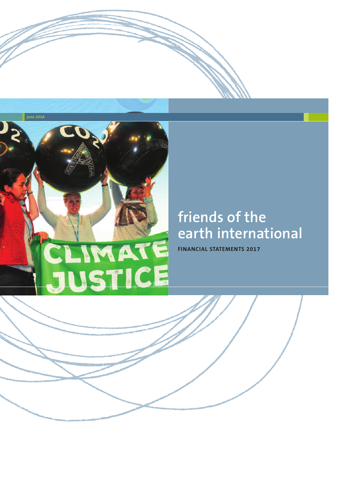

# **friends of the earth international**

**FINANCIAL STATEMENTS 2017**

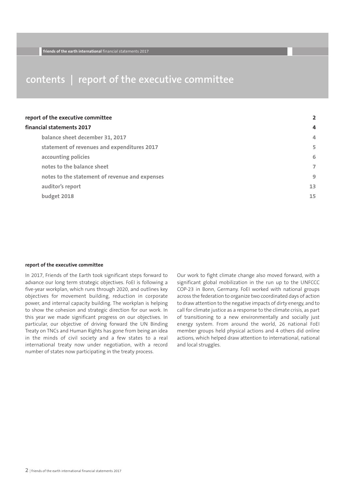### **contents | report of the executive committee**

| report of the executive committee              | 2  |
|------------------------------------------------|----|
| financial statements 2017                      | 4  |
| balance sheet december 31, 2017                | 4  |
| statement of revenues and expenditures 2017    | 5  |
| accounting policies                            | 6  |
| notes to the balance sheet                     | 7  |
| notes to the statement of revenue and expenses | 9  |
| auditor's report                               | 13 |
| budget 2018                                    | 15 |

### **report of the executive committee**

In 2017, Friends of the Earth took significant steps forward to advance our long term strategic objectives. FoEI is following a five-year workplan, which runs through 2020, and outlines key objectives for movement building, reduction in corporate power, and internal capacity building. The workplan is helping to show the cohesion and strategic direction for our work. In this year we made significant progress on our objectives. In particular, our objective of driving forward the UN Binding Treaty on TNCs and Human Rights has gone from being an idea in the minds of civil society and a few states to a real international treaty now under negotiation, with a record number of states now participating in the treaty process.

Our work to fight climate change also moved forward, with a significant global mobilization in the run up to the UNFCCC COP-23 in Bonn, Germany. FoEI worked with national groups across the federation to organize two coordinated days of action to draw attention to the negative impacts of dirty energy, and to call for climate justice as a response to the climate crisis, as part of transitioning to a new environmentally and socially just energy system. From around the world, 26 national FoEI member groups held physical actions and 4 others did online actions, which helped draw attention to international, national and local struggles.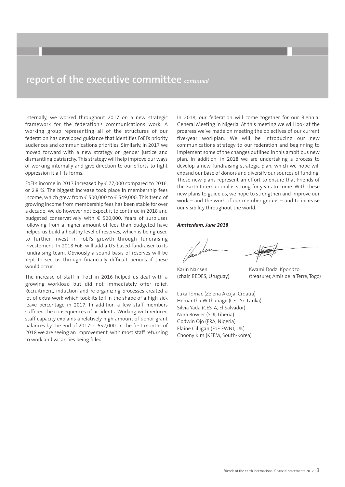### **report of the executive committee** *continued*

Internally, we worked throughout 2017 on a new strategic framework for the federation's communications work. A working group representing all of the structures of our federation has developed guidance that identifies FoEI's priority audiences and communications priorities. Similarly, in 2017 we moved forward with a new strategy on gender justice and dismantling patriarchy. This strategy will help improve our ways of working internally and give direction to our efforts to fight oppression it all its forms.

FoEI's income in 2017 increased by € 77,000 compared to 2016, or 2.8 %. The biggest increase took place in membership fees income, which grew from € 500,000 to € 549,000. This trend of growing income from membership fees has been stable for over a decade; we do however not expect it to continue in 2018 and budgeted conservatively with € 520,000. Years of surpluses following from a higher amount of fees than budgeted have helped us build a healthy level of reserves, which is being used to further invest in FoEI's growth through fundraising investement. In 2018 FoEI will add a US-based fundraiser to its fundraising team. Obviously a sound basis of reserves will be kept to see us through financially difficult periods if these would occur.

The increase of staff in FoEI in 2016 helped us deal with a growing workload but did not immediately offer relief. Recruitment, induction and re-organizing processes created a lot of extra work which took its toll in the shape of a high sick leave percentage in 2017. In addition a few staff members suffered the consequences of accidents. Working with reduced staff capacity explains a relatively high amount of donor grant balances by the end of 2017: € 652,000. In the first months of 2018 we are seeing an improvement, with most staff returning to work and vacancies being filled.

In 2018, our federation will come together for our Biennial General Meeting in Nigeria. At this meeting we will look at the progress we've made on meeting the objectives of our current five-year workplan. We will be introducing our new communications strategy to our federation and beginning to implement some of the changes outlined in this ambitious new plan. In addition, in 2018 we are undertaking a process to develop a new fundraising strategic plan, which we hope will expand our base of donors and diversify our sources of funding. These new plans represent an effort to ensure that Friends of the Earth International is strong for years to come. With these new plans to guide us, we hope to strengthen and improve our work – and the work of our member groups – and to increase our visibility throughout the world.

### *Amsterdam, June 2018*

fan New

Karin Nansen (chair, REDES, Uruguay)

Kwami Dodzi Kpondzo (treasurer, Amis de la Terre, Togo)

Luka Tomac (Zelena Akcija, Croatia) Hemantha Withanage (CEJ, Sri Lanka) Silvia Yada (CESTA, El Salvador) Nora Bowier (SDI, Liberia) Godwin Ojo (ERA, Nigeria) Elaine Gilligan (FoE EWNI, UK) Choony Kim (KFEM, South-Korea)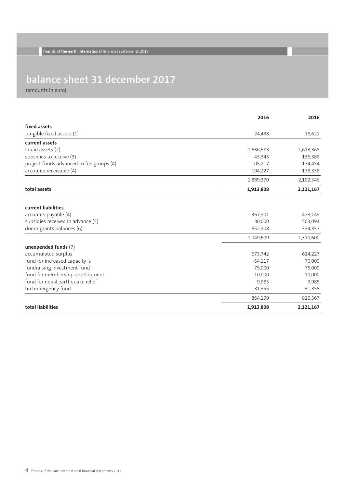## **balance sheet 31 december 2017**

|                                          | 2016      | 2016      |
|------------------------------------------|-----------|-----------|
| fixed assets                             |           |           |
| tangible fixed assets (1)                | 24,438    | 18,621    |
| current assets                           |           |           |
| liquid assets (2)                        | 1,636,583 | 1,613,368 |
| subsidies to receive (3)                 | 43,343    | 136,386   |
| project funds advanced to foe groups (4) | 105,217   | 174,454   |
| accounts receivable (4)                  | 104,227   | 178,338   |
|                                          | 1,889,370 | 2,102,546 |
| total assets                             | 1,913,808 | 2,121,167 |
| current liabilities                      |           |           |
| accounts payable (4)                     | 367,301   | 473,149   |
| subsidies received in advance (5)        | 30,000    | 503,094   |
| donor grants balances (6)                | 652,308   | 334,357   |
|                                          | 1,049,609 | 1,310,600 |
| unexpended funds (7)                     |           |           |
| accumulated surplus                      | 673,742   | 614,227   |
| fund for increased capacity is           | 64,117    | 70,000    |
| fundraising investment fund              | 75,000    | 75,000    |
| fund for membership development          | 10,000    | 10,000    |
| fund for nepal earthquake relief         | 9,985     | 9,985     |
| hrd emergency fund                       | 31,355    | 31,355    |
|                                          | 864,199   | 810,567   |
| total liabilities                        | 1,913,808 | 2,121,167 |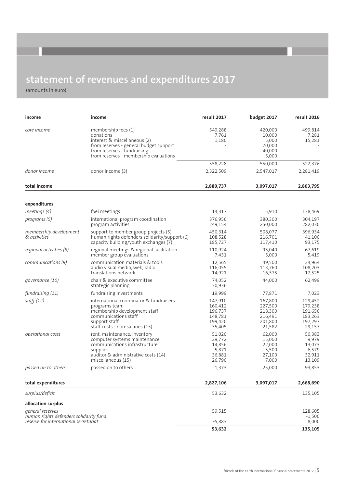## **statement of revenues and expenditures 2017**

| income                                                     | income                                                                                                                                                                              | result 2017                                                   | budget 2017                                                   | result 2016                                                   |
|------------------------------------------------------------|-------------------------------------------------------------------------------------------------------------------------------------------------------------------------------------|---------------------------------------------------------------|---------------------------------------------------------------|---------------------------------------------------------------|
| core income                                                | membership fees (1)<br>donations<br>interest & miscellaneous (2)<br>from reserves - general budget support<br>from reserves - fundraising<br>from reserves - membership evaluations | 549,288<br>7,761<br>1,180                                     | 420,000<br>10,000<br>5,000<br>70,000<br>40,000<br>5,000       | 499,814<br>7,281<br>15,281                                    |
|                                                            |                                                                                                                                                                                     | 558,228                                                       | 550,000                                                       | 522,376                                                       |
| donor income                                               | donor income (3)                                                                                                                                                                    | 2,322,509                                                     | 2,547,017                                                     | 2,281,419                                                     |
| total income                                               |                                                                                                                                                                                     | 2,880,737                                                     | 3,097,017                                                     | 2,803,795                                                     |
| expenditures                                               |                                                                                                                                                                                     |                                                               |                                                               |                                                               |
| meetings (4)                                               | foei meetings                                                                                                                                                                       | 14,317                                                        | 5,910                                                         | 138,469                                                       |
| programs (5)                                               | international program coordination<br>program activities                                                                                                                            | 376,956<br>249,154                                            | 380,300<br>250,000                                            | 304,197<br>282,030                                            |
| membership development<br>& activities                     | support to member group projects (5)<br>human rights defenders solidarity/support (6)<br>capacity building/youth exchanges (7)                                                      | 450.314<br>108,528<br>185,727                                 | 508,077<br>216,701<br>117,410                                 | 396,934<br>41,100<br>93,175                                   |
| regional activities (8)                                    | regional meetings & regional facilitation<br>member group evaluations                                                                                                               | 110,924<br>7,431                                              | 95,040<br>5,000                                               | 67,619<br>5,419                                               |
| communications (9)                                         | communication materials & tools<br>audio visual media, web, radio<br>translations network                                                                                           | 12,565<br>116,055<br>14,921                                   | 49,500<br>113,760<br>16,375                                   | 24,964<br>108,203<br>12,525                                   |
| governance (10)                                            | chair & executive committee<br>strategic planning                                                                                                                                   | 74,052<br>30,936                                              | 44,000                                                        | 62,499                                                        |
| fundraising (11)                                           | fundraising investments                                                                                                                                                             | 19,999                                                        | 77,871                                                        | 7,023                                                         |
| staff(12)                                                  | international coordinator & fundraisers<br>programs team<br>membership development staff<br>communications staff<br>support staff<br>staff costs - non-salaries (13)                | 147,910<br>160,412<br>196,737<br>148,781<br>199,420<br>35,405 | 167,800<br>227,500<br>218,300<br>216,491<br>201,800<br>21,582 | 129,452<br>179,238<br>191,656<br>183,263<br>197,297<br>29,157 |
| <i>operational costs</i>                                   | rent, maintenance, inventory<br>computer systems maintenance<br>communications infrastructure<br>supplies<br>auditor & administrative costs (14)<br>miscellaneous (15)              | 51,020<br>29,772<br>14,856<br>5,871<br>36,881<br>26,790       | 62,000<br>15,000<br>22,000<br>5,500<br>27,100<br>7,000        | 50,383<br>9,979<br>13,073<br>6,579<br>32,911<br>13,109        |
| passed on to others                                        | passed on to others                                                                                                                                                                 | 1,373                                                         | 25,000                                                        | 93,853                                                        |
| total expenditures                                         |                                                                                                                                                                                     | 2,827,106                                                     | 3,097,017                                                     | 2,668,690                                                     |
| surplus/deficit                                            |                                                                                                                                                                                     | 53,632                                                        |                                                               | 135,105                                                       |
| allocation surplus                                         |                                                                                                                                                                                     |                                                               |                                                               |                                                               |
| general reserves<br>human rights defenders solidarity fund |                                                                                                                                                                                     | 59,515                                                        |                                                               | 128,605<br>$-1,500$                                           |
| reserve for international secretariat                      |                                                                                                                                                                                     | $-5,883$<br>53,632                                            |                                                               | 8,000                                                         |
|                                                            |                                                                                                                                                                                     |                                                               |                                                               | 135,105                                                       |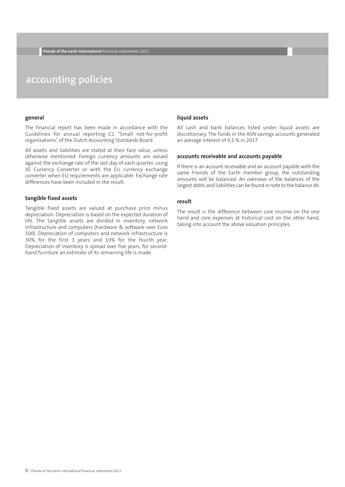### **accounting policies**

### **general**

The financial report has been made in accordance with the Guidelines for annual reporting C1 "Small not-for-profit organisations" of the Dutch Accounting Standards Board.

All assets and liabilities are stated at their face value, unless otherwise mentioned. Foreign currency amounts are valued against the exchange rate of the last day of each quarter, using XE Currency Converter or with the EU currency exchange converter when EU requirements are applicable. Exchange rate differences have been included in the result.

### **tangible fixed assets**

Tangible fixed assets are valued at purchase price minus depreciation. Depreciation is based on the expected duration of life. The tangible assets are divided in inventory, network infrastructure and computers (hardware & software over Euro 500). Depreciation of computers and network infrastructure is 30% for the first 3 years and 10% for the fourth year. Depreciation of inventory is spread over five years, for secondhand furniture an estimate of its remaining life is made.

### **liquid assets**

All cash and bank balances listed under liquid assets are discretionary. The funds in the ASN savings accounts generated an average interest of 0.1 % in 2017.

### **accounts receivable and accounts payable**

If there is an account receivable and an account payable with the same Friends of the Earth member group, the outstanding amounts will be balanced. An overview of the balances of the largest debts and liabilities can be found in note to the balance 4b.

### **result**

The result is the difference between core income on the one hand and core expenses at historical cost on the other hand, taking into account the above valuation principles.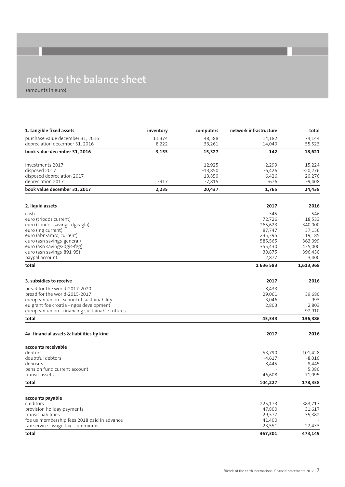## **notes to the balance sheet**

| 1. tangible fixed assets                       | inventory | computers | network infrastructure | total     |
|------------------------------------------------|-----------|-----------|------------------------|-----------|
| purchase value december 31, 2016               | 11,374    | 48,588    | 14,182                 | 74,144    |
| depreciation december 31, 2016                 | $-8,222$  | $-33,261$ | $-14,040$              | $-55,523$ |
| book value december 31, 2016                   | 3,153     | 15,327    | 142                    | 18,621    |
|                                                |           |           |                        |           |
| investments 2017                               |           | 12,925    | 2,299                  | 15,224    |
| disposed 2017                                  |           | $-13,850$ | $-6,426$               | $-20,276$ |
| disposed depreciation 2017                     |           | 13,850    | 6,426                  | 20,276    |
| depreciation 2017                              | $-917$    | $-7,815$  | $-676$                 | $-9,408$  |
| book value december 31, 2017                   | 2,235     | 20,437    | 1,765                  | 24,438    |
|                                                |           |           | 2017                   |           |
| 2. liquid assets                               |           |           |                        | 2016      |
| cash                                           |           |           | 345                    | 546       |
| euro (triodos current)                         |           |           | 72,726                 | 18,533    |
| euro (triodos savings-dgis-gla)                |           |           | 265,623                | 340,000   |
| euro (ing current)                             |           |           | 87,747                 | 37,156    |
| euro (abn-amro, current)                       |           |           | 235,395                | 19,185    |
| euro (asn savings-general)                     |           |           | 585,565                | 363,099   |
| euro (asn savings-dgis-fgg)                    |           |           | 355,430                | 435,000   |
| euro (asn savings-891-95)                      |           |           | 30,875                 | 396,450   |
| paypal account                                 |           |           | 2,877                  | 3,400     |
| total                                          |           |           | 1636583                | 1,613,368 |
|                                                |           |           |                        |           |
| 3. subsidies to receive                        |           |           | 2017                   | 2016      |
| bread for the world-2017-2020                  |           |           | 8,433                  |           |
| bread for the world-2015-2017                  |           |           | 29,061                 | 39,680    |
| european union - school of sustainability      |           |           | 3,046                  | 993       |
| eu grant foe croatia - ngos development        |           |           | 2,803                  | 2,803     |
| european union - financing sustainable futures |           |           |                        | 92,910    |
| total                                          |           |           | 43,343                 | 136,386   |
|                                                |           |           |                        |           |
| 4a. financial assets & liabilities by kind     |           |           | 2017                   | 2016      |
| accounts receivable                            |           |           |                        |           |
| debtors                                        |           |           | 53,790                 | 101,428   |
| doubtful debtors                               |           |           | $-4,617$               | $-8,010$  |
| deposits                                       |           |           | 8,445                  | 8,445     |
| pension fund current account                   |           |           |                        | 5,380     |
| transit assets                                 |           |           | 46,608                 | 71,095    |
| total                                          |           |           | 104,227                | 178,338   |
|                                                |           |           |                        |           |
| accounts payable<br>creditors                  |           |           | 225,173                | 383,717   |
| provision holiday payments                     |           |           | 47,800                 | 31,617    |
| transit liabilities                            |           |           | 29,377                 | 35,382    |
| foe us membership fees 2018 paid in advance    |           |           | 41,400                 |           |
| tax service - wage tax + premiums              |           |           | 23,551                 | 22,433    |
| total                                          |           |           | 367,301                | 473,149   |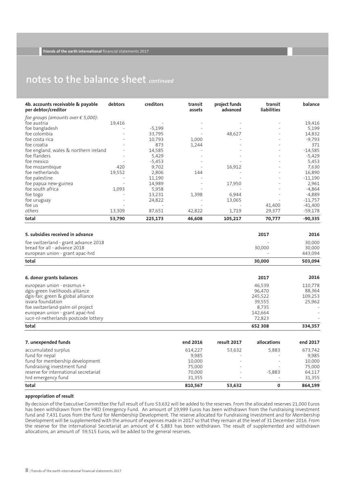### **notes to the balance sheet** *continued*

| 4b. accounts receivable & payable<br>per debtor/creditor | debtors | creditors | transit<br>assets | project funds<br>advanced | transit<br><b>liabilities</b> | balance   |
|----------------------------------------------------------|---------|-----------|-------------------|---------------------------|-------------------------------|-----------|
| foe groups (amounts over $\epsilon$ 5,000):              |         |           |                   |                           |                               |           |
| foe austria                                              | 19,416  |           |                   |                           |                               | 19,416    |
| foe bangladesh                                           |         | $-5,199$  |                   |                           |                               | 5,199     |
| foe colombia                                             |         | 33,795    |                   | 48,627                    |                               | 14,832    |
| foe costa rica                                           |         | 10,793    | 1,000             |                           |                               | $-9,793$  |
| foe croatia                                              |         | 873       | 1,244             |                           |                               | 371       |
| foe england, wales & northern ireland                    |         | 14,585    |                   |                           |                               | $-14,585$ |
| foe flanders                                             |         | 5,429     |                   |                           |                               | $-5,429$  |
| foe mexico                                               |         | $-5,453$  |                   |                           | ۰                             | 5,453     |
| foe mozambique                                           | 420     | 9,702     |                   | 16,912                    |                               | 7,630     |
| foe netherlands                                          | 19,552  | 2,806     | 144               |                           |                               | 16,890    |
| foe palestine                                            |         | 11,190    |                   |                           | $\qquad \qquad -$             | $-11,190$ |
| foe papua new-guinea                                     |         | 14,989    |                   | 17,950                    | ۰                             | 2,961     |
| foe south africa                                         | 1,093   | 5,958     |                   |                           |                               | $-4,864$  |
| foe togo                                                 |         | 13,231    | 1,398             | 6,944                     |                               | $-4,889$  |
| foe uruguay                                              |         | 24,822    |                   | 13,065                    |                               | $-11,757$ |
| foe us                                                   |         |           |                   |                           | 41,400                        | $-41,400$ |
| others                                                   | 13,309  | 87,651    | 42,822            | 1,719                     | 29,377                        | $-59,178$ |
| total                                                    | 53,790  | 225,173   | 46,608            | 105,217                   | 70,777                        | $-90,335$ |

| 5. subsidies received in advance                                                                                                                                                                                                        |                                                          |                                                                     | 2017              | 2016                                                     |
|-----------------------------------------------------------------------------------------------------------------------------------------------------------------------------------------------------------------------------------------|----------------------------------------------------------|---------------------------------------------------------------------|-------------------|----------------------------------------------------------|
| foe switzerland - grant advance 2018<br>bread for all - advance 2018<br>european union - grant apac-hrd                                                                                                                                 |                                                          |                                                                     | 30,000            | 30,000<br>30,000<br>443,094                              |
| total                                                                                                                                                                                                                                   |                                                          |                                                                     | 30,000            | 503,094                                                  |
| 6. donor grants balances                                                                                                                                                                                                                |                                                          |                                                                     | 2017              | 2016                                                     |
| european union - erasmus +<br>dgis-green livelihoods alliance<br>dgis-fair, green & global alliance<br>isvara foundation<br>foe switzerland-palm oil project<br>european union - grant apac-hrd<br>iucn-nl-netherlands postcode lottery |                                                          | 46,539<br>96.470<br>245,522<br>39,555<br>8,735<br>142,664<br>72,823 |                   | 110,778<br>88,364<br>109,253<br>25,962                   |
| total                                                                                                                                                                                                                                   |                                                          |                                                                     | 652 308           | 334,357                                                  |
| 7. unexpended funds                                                                                                                                                                                                                     | end 2016                                                 | result 2017                                                         | allocations       | end 2017                                                 |
| accumulated surplus<br>fund for nepal<br>fund for membership development<br>fundraising investment fund<br>reserve for international secretariat<br>hrd emergency fund                                                                  | 614,227<br>9,985<br>10,000<br>75,000<br>70,000<br>31,355 | 53,632                                                              | 5,883<br>$-5,883$ | 673,742<br>9,985<br>10,000<br>75,000<br>64,117<br>31,355 |
| total                                                                                                                                                                                                                                   | 810,567                                                  | 53,632                                                              | 0                 | 864,199                                                  |

### **appropriation of result**

By decision of the Executive Committee the full result of Euro 53,632 will be added to the reserves. From the allocated reserves 21,000 Euros has been withdrawn from the HRD Emergency Fund. An amount of 19,999 Euros has been withdrawn from the Fundraising Investment fund and 7,431 Euros from the fund for Membership Development. The reserve allocated for Fundraising Investment and for Membership Development will be supplemented with the amount of expenses made in 2017 so that they remain at the level of 31 December 2016. From the reserve for the International Secretariat an amount of € 5,883 has been withdrawn. The result of supplemented and withdrawn allocations, an amount of 59,515 Euros, will be added to the general reserves.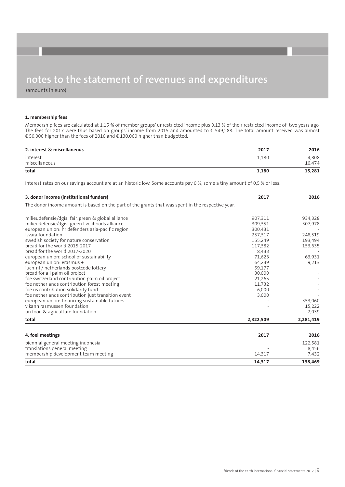(amounts in euro)

### **1. membership fees**

Membership fees are calculated at 1.15 % of member groups' unrestricted income plus 0,13 % of their restricted income of two years ago. The fees for 2017 were thus based on groups' income from 2015 and amounted to € 549,288. The total amount received was almost € 50,000 higher than the fees of 2016 and € 130,000 higher than budgetted.

| 2. interest & miscellaneous | 2017                              | 2016            |
|-----------------------------|-----------------------------------|-----------------|
| interest<br>miscellaneous   | 1,180<br>$\overline{\phantom{0}}$ | 4,808<br>10.474 |
| total                       | 1,180                             | 15,281          |

Interest rates on our savings account are at an historic low. Some accounts pay 0 %, some a tiny amount of 0,5 % or less.

| 3. donor income (institutional funders)                                                           | 2017      | 2016      |
|---------------------------------------------------------------------------------------------------|-----------|-----------|
| The donor income amount is based on the part of the grants that was spent in the respective year. |           |           |
| milieudefensie/dgis: fair, green & global alliance                                                | 907,311   | 934,328   |
| milieudefensie/dgis: green livelihoods alliance                                                   | 309,351   | 307,978   |
| european union: hr defenders asia-pacific region                                                  | 300.431   |           |
| isvara foundation                                                                                 | 257,317   | 248,519   |
| swedish society for nature conservation                                                           | 155,249   | 193,494   |
| bread for the world 2015-2017                                                                     | 117,382   | 153,635   |
| bread for the world 2017-2020                                                                     | 8,433     |           |
| european union: school of sustainability                                                          | 71,623    | 63,931    |
| european union: erasmus +                                                                         | 64,239    | 9,213     |
| jucn-nl / netherlands postcode lottery                                                            | 59,177    |           |
| bread for all palm oil project                                                                    | 30,000    |           |
| foe switzerland contribution palm oil project                                                     | 21,265    |           |
| foe netherlands contribution forest meeting                                                       | 11,732    |           |
| foe us contribution solidarity fund                                                               | 6,000     |           |
| foe netherlands contribution just transition event                                                | 3,000     |           |
| european union: financing sustainable futures                                                     |           | 353,060   |
| y kann rasmussen foundation                                                                       |           | 15,222    |
| un food & agriculture foundation                                                                  |           | 2,039     |
| total                                                                                             | 2,322,509 | 2,281,419 |
| 4. foei meetings                                                                                  | 2017      | 2016      |
| biennial general meeting indonesia                                                                |           | 122,581   |
| translations general meeting                                                                      |           | 8,456     |
| membership development team meeting                                                               | 14,317    | 7,432     |
|                                                                                                   |           |           |
| total                                                                                             | 14,317    | 138,469   |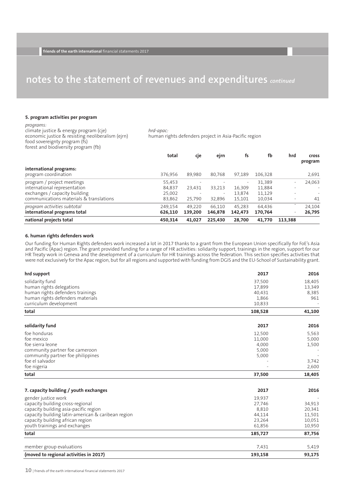### **5. program activities per program**

### *programs:*

climate justice & energy program (cje) economic justice & resisting neoliberalism (ejrn) food sovereignty program (fs) forest and biodiversity program (fb)

*hrd-apac:* human rights defenders project in Asia-Pacific region

|                                                 | total   | cje     | ejrn                     | fs                       | fb      | hrd                      | <b>Cross</b><br>program  |
|-------------------------------------------------|---------|---------|--------------------------|--------------------------|---------|--------------------------|--------------------------|
| international programs:<br>program coordination | 376,956 | 89,980  | 80.768                   | 97,189                   | 106,328 |                          | 2,691                    |
| program / project meetings                      | 55,453  |         |                          | $\overline{\phantom{a}}$ | 31,389  | $\overline{\phantom{0}}$ | 24,063                   |
| international representation                    | 84,837  | 23,431  | 33,213                   | 16,309                   | 11,884  |                          | $\overline{\phantom{a}}$ |
| exchanges / capacity building                   | 25,002  |         | $\overline{\phantom{a}}$ | 13.874                   | 11,129  |                          | $\overline{a}$           |
| communications materials & translations         | 83,862  | 25,790  | 32,896                   | 15,101                   | 10,034  | $\overline{\phantom{a}}$ | 41                       |
| program activities subtotal                     | 249,154 | 49.220  | 66.110                   | 45.283                   | 64,436  |                          | 24,104                   |
| international programs total                    | 626.110 | 139,200 | 146,878                  | 142,473                  | 170,764 | $\overline{\phantom{0}}$ | 26,795                   |
| national projects total                         | 450,314 | 41.027  | 225.430                  | 28,700                   | 41.770  | 113.388                  |                          |

#### **6. human rights defenders work**

Our funding for Human Rights defenders work increased a lot in 2017 thanks to a grant from the European Union specifically for FoE's Asia and Pacific (Apac) region. The grant provided funding for a range of HR activities: solidarity support, trainings in the region, support for our HR Treaty work in Geneva and the development of a curriculum for HR trainings across the federation. This section specifies activities that were not exclusively for the Apac region, but for all regions and supported with funding from DGIS and the EU-School of Sustainability grant.

| hrd support                                        | 2017    | 2016   |
|----------------------------------------------------|---------|--------|
| solidarity fund                                    | 37,500  | 18,405 |
| human rights delegations                           | 17,899  | 13,349 |
| human rights defenders trainings                   | 40,431  | 8,385  |
| human rights defenders materials                   | 1,866   | 961    |
| curriculum development                             | 10,833  |        |
| total                                              | 108,528 | 41,100 |
| solidarity fund                                    | 2017    | 2016   |
| foe honduras                                       | 12,500  | 5,563  |
| foe mexico                                         | 11,000  | 5,000  |
| foe sierra leone                                   | 4,000   | 1,500  |
| community partner foe cameroon                     | 5,000   |        |
| community partner foe philippines                  | 5,000   |        |
| foe el salvador                                    |         | 3,742  |
| foe nigeria                                        |         | 2,600  |
| total                                              | 37,500  | 18,405 |
| 7. capacity building / youth exchanges             | 2017    | 2016   |
| gender justice work                                | 19.937  |        |
| capacity building cross-regional                   | 27,746  | 34,913 |
| capacity building asia-pacific region              | 8,810   | 20,341 |
| capacity building latin-american & caribean region | 44,114  | 11,501 |
| capacity building african region                   | 23,264  | 10,051 |
| youth trainings and exchanges                      | 61,856  | 10,950 |
| total                                              | 185,727 | 87,756 |
| member group evaluations                           | 7,431   | 5,419  |
| (moved to regional activities in 2017)             | 193,158 | 93,175 |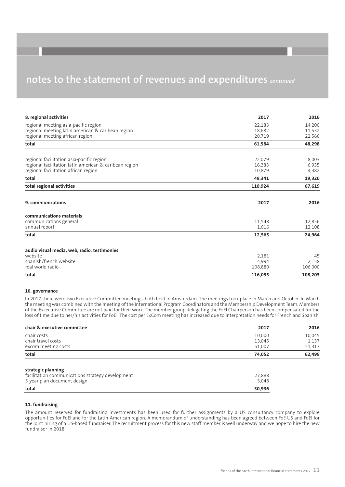| 8. regional activities                                 | 2017    | 2016    |
|--------------------------------------------------------|---------|---------|
| regional meeting asia-pacific region                   | 22,183  | 14,200  |
| regional meeting latin american & caribean region      | 18,682  | 11,532  |
| regional meeting african region                        | 20,719  | 22,566  |
| total                                                  | 61,584  | 48,298  |
| regional facilitation asia-pacific region              | 22,079  | 8,003   |
| regional facilitation latin american & caribean region | 16,383  | 6,935   |
| regional facilitation african region                   | 10,879  | 4,382   |
| total                                                  | 49,341  | 19,320  |
| total regional activities                              | 110,924 | 67,619  |
| 9. communications                                      | 2017    | 2016    |
| communications materials                               |         |         |
| communications general                                 | 11.548  | 12,856  |
| annual report                                          | 1,016   | 12,108  |
| total                                                  | 12,565  | 24,964  |
| audio visual media, web, radio, testimonies            |         |         |
| website                                                | 2,181   | 45      |
| spanish/french website                                 | 4,994   | 2,158   |
| real world radio                                       | 108,880 | 106,000 |
| total                                                  | 116,055 | 108,203 |

#### **10. governance**

In 2017 there were two Executive Committee meetings, both held in Amsterdam. The meetings took place in March and October. In March the meeting was combined with the meeting of the International Program Coordinators and the Membership Development Team. Members of the Excecutive Committee are not paid for their work. The member group delegating the FoEI Chairperson has been compensated for the loss of time due to her/his activities for FoEI. The cost per ExCom meeting has increased due to interpretation needs for French and Spanish.

| chair & executive committee                      | 2017             | 2016            |
|--------------------------------------------------|------------------|-----------------|
| chair costs                                      | 10,000           | 10,045          |
| chair travel costs<br>excom meeting costs        | 13,045<br>51,007 | 1,137<br>51,317 |
| total                                            | 74,052           | 62,499          |
| strategic planning                               |                  |                 |
| facilitation communications strategy development | 27,888           |                 |
| 5-year plan document design                      | 3,048            |                 |
| total                                            | 30,936           |                 |

### **11. fundraising**

The amount reserved for fundraising investments has been used for further assignments by a US consultancy company to explore opportunities for FoEI and for the Latin-American region. A memorandum of understanding has been agreed between FoE US and FoEI for the joint hiring of a US-based fundraiser. The recruitment process for this new staff member is well underway and we hope to hire the new fundraiser in 2018.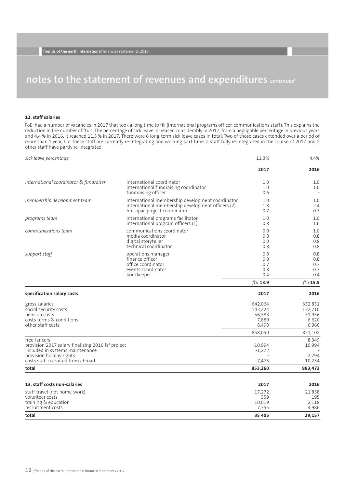### **12. staff salaries**

FoEI had a number of vacancies in 2017 that took a long time to fill (international programs officer, communications staff). This explains the reduction in the number of ftu's. The percentage of sick leave increased considerably in 2017, from a negligable percentage in previous years and 4.4 % in 2016, it reached 11.3 % in 2017. There were 6 long-term sick leave cases in total. Two of those cases extended over a period of more than 1 year, but these staff are currently re-integrating and working part time. 2 staff fully re-integrated in the course of 2017 and 2 other staff have partly re-integrated.

| sick leave percentage                                                                                                                                                 |                                                                                                                                       | 11.3%                                                     | 4.4%                                                      |
|-----------------------------------------------------------------------------------------------------------------------------------------------------------------------|---------------------------------------------------------------------------------------------------------------------------------------|-----------------------------------------------------------|-----------------------------------------------------------|
|                                                                                                                                                                       |                                                                                                                                       | 2017                                                      | 2016                                                      |
| international coordinator & fundraiser                                                                                                                                | international coordinator<br>international fundraising coordinator<br>fundraising officer                                             | 1.0<br>1.0<br>0.6                                         | 1.0<br>1.0<br>$\sim$                                      |
| membership development team                                                                                                                                           | international membership development coordinator<br>international membership development officers (2)<br>hrd-apac project coordinator | 1.0<br>1.8<br>0.7                                         | 1.0<br>2.4<br>0.7                                         |
| programs team                                                                                                                                                         | international programs facilitator<br>international program officers (1)                                                              | 1.0<br>0.8                                                | 1.0<br>1.6                                                |
| communications team                                                                                                                                                   | communications coordinator<br>media coordinator<br>digital storyteller<br>technical coordinator                                       | 0.9<br>0.8<br>0.0<br>0.8                                  | 1.0<br>0.8<br>0.8<br>0.8                                  |
| support staff                                                                                                                                                         | operations manager<br>finance officer<br>office coordinator<br>events coordinator<br>bookkeeper                                       | 0.8<br>0.8<br>0.7<br>0.8<br>0.4                           | 0.8<br>0.8<br>0.7<br>0.7<br>0.4                           |
|                                                                                                                                                                       |                                                                                                                                       | ftu 13.9                                                  | ftu $15.5$                                                |
| specification salary costs                                                                                                                                            |                                                                                                                                       | 2017                                                      | 2016                                                      |
| gross salaries<br>social security costs<br>pension costs<br>costs terms & conditions<br>other staff costs                                                             |                                                                                                                                       | 642,064<br>143,224<br>56,383<br>7,889<br>8,490<br>858,050 | 652,851<br>132,710<br>51,956<br>6,620<br>6,966<br>851,102 |
| free-lancers<br>provision 2017 salary finalizing 2016 fsf project<br>included in systems maintenance<br>provision holiday rights<br>costs staff recruited from abroad |                                                                                                                                       | $-10,994$<br>$-1,272$<br>7,475                            | 8,349<br>10,994<br>2,794<br>10,234                        |
| total                                                                                                                                                                 |                                                                                                                                       | 853,260                                                   | 883,473                                                   |
| 13. staff costs non-salaries                                                                                                                                          |                                                                                                                                       | 2017                                                      | 2016                                                      |
| staff travel (not home-work)<br>volunteer costs<br>training & education<br>recruitment costs                                                                          |                                                                                                                                       | 17,272<br>359<br>10,019<br>7,755                          | 21,858<br>195<br>2,118<br>4,986                           |
| total                                                                                                                                                                 |                                                                                                                                       | 35 405                                                    | 29,157                                                    |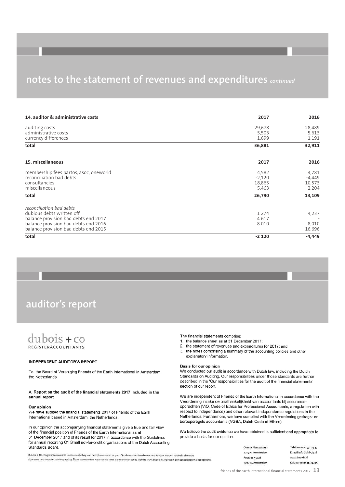| 14. auditor & administrative costs                                                                                                                                            | 2017                                 | 2016                                 |
|-------------------------------------------------------------------------------------------------------------------------------------------------------------------------------|--------------------------------------|--------------------------------------|
| auditing costs<br>administrative costs<br>currency differences                                                                                                                | 29,678<br>5,503<br>1,699             | 28,489<br>5,613<br>$-1,191$          |
| total                                                                                                                                                                         | 36,881                               | 32,911                               |
| 15. miscellaneous                                                                                                                                                             | 2017                                 | 2016                                 |
| membership fees partos, asoc, oneworld<br>reconciliation bad debts<br>consultancies<br>miscellaneous                                                                          | 4,582<br>$-2,120$<br>18,865<br>5,463 | 4,781<br>$-4,449$<br>10,573<br>2,204 |
| total                                                                                                                                                                         | 26,790                               | 13,109                               |
| reconciliation bad debts<br>dubious debts written off<br>balance provision bad debts end 2017<br>balance provision bad debts end 2016<br>balance provision bad debts end 2015 | 1 2 7 4<br>4617<br>$-8010$           | 4,237<br>8,010<br>$-16,696$          |
| total                                                                                                                                                                         | $-2120$                              | $-4,449$                             |

### **auditor's report**

### $dubois + co$ REGISTERACCOUNTANTS

#### **INDEPENDENT AUDITOR'S REPORT**

To: the Board of Vereniging Friends of the Earth International in Amsterdam. the Netherlands.

#### A. Report on the audit of the financial statements 2017 included in the annual report

#### Our opinion

We have audited the financial statements 2017 of Friends of the Earth International based in Amsterdam, the Netherlands.

In our opinion the accompanying financial statements give a true and fair view of the financial position of Friends of the Earth International as at 31 December 2017 and of its result for 2017 in accordance with the Guidelines for annual reporting C1 Small not-for-profit organisations of the Dutch Accounting Standards Board.

Dubois & Co. Registeraccountants is een maatschap van praktiikvennootschappen. Op alle opdrachten die aan ons kan algemene voorwaarden van toepassing. Deze voorwaarden, waarvan de tekst is opgenomen op de website www.duboi.

The financial statements comprise:

- 1. the balance sheet as at 31 December 2017:
- 2. the statement of revenues and expenditures for 2017; and
- the notes comprising a summary of the accounting policies and other  $3.$ explanatory information.

#### Basis for our opinion

We conducted our audit in accordance with Dutch law, including the Dutch Standards on Auditing. Our responsibilities under those standards are further described in the 'Our responsibilities for the audit of the financial statements' section of our report.

We are independent of Friends of the Earth International in accordance with the Verordening inzake de onafhankelijkheid van accountants bij assuranceopdrachten (ViO, Code of Ethics for Professional Accountants, a regulation with respect to independence) and other relevant independence regulations in the Netherlands. Furthermore, we have complied with the Verordening gedrags- en beroepsregels accountants (VGBA, Dutch Code of Ethics).

We believe the audit evidence we have obtained is sufficient and appropriate to provide a basis for our opinion.

|                                                | Oranje Nassaulaan 1 | l eletoon 020 571 23 45 |
|------------------------------------------------|---------------------|-------------------------|
|                                                | 1075 AH Amsterdam   | E-mail info@dubois.nl   |
| toor worden verstrekt zijn onze                | Postbus 53028       | www.dubois.nl           |
| .nl, bevatten een aansprakelijkheidsbeperking. |                     |                         |
|                                                | 1007 RA Amsterdam   | KvK nummer 34374865     |
|                                                |                     |                         |

friends of the earth international financial statements <sup>2017</sup> <sup>|</sup> **13**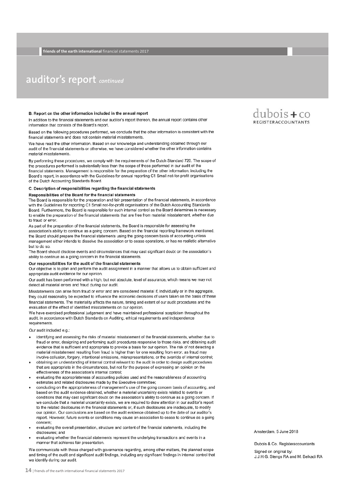### **auditor's report** *continued*

#### B. Report on the other information included in the annual report

In addition to the financial statements and our auditor's report thereon, the annual report contains other information that consists of the Board's report.

Based on the following procedures performed, we conclude that the other information is consistent with the financial statements and does not contain material misstatements.

We have read the other information. Based on our knowledge and understanding obtained through our audit of the financial statements or otherwise, we have considered whether the other information contains material misstatements.

By performing these procedures, we comply with the requirements of the Dutch Standard 720. The scope of the procedures performed is substantially less than the scope of those performed in our audit of the financial statements. Management is responsible for the preparation of the other information, including the Board's report, in accordance with the Guidelines for annual reporting C1 Small not-for-profit organisations of the Dutch Accounting Standards Board.

#### C. Description of responsibilities regarding the financial statements

#### Responsibilities of the Board for the financial statements

The Board is responsible for the preparation and fair presentation of the financial statements, in accordance with the Guidelines for reporting C1 Small not-for-profit organisations of the Dutch Accounting Standards Board. Furthermore, the Board is responsible for such internal control as the Board determines is necessary to enable the preparation of the financial statements that are free from material misstatement, whether due to fraud or error.

As part of the preparation of the financial statements, the Board is responsible for assessing the association's ability to continue as a going concern. Based on the financial reporting framework mentioned, the Board should prepare the financial statements using the going concern basis of accounting unless management either intends to dissolve the association or to cease operations, or has no realistic alternative but to do so.

The Board should disclose events and circumstances that may cast significant doubt on the association's ability to continue as a going concern in the financial statements.

#### Our responsibilities for the audit of the financial statements

Our objective is to plan and perform the audit assignment in a manner that allows us to obtain sufficient and appropriate audit evidence for our opinion.

Our audit has been performed with a high, but not absolute, level of assurance, which means we may not detect all material errors and fraud during our audit.

Misstatements can arise from fraud or error and are considered material if, individually or in the aggregate, they could reasonably be expected to influence the economic decisions of users taken on the basis of these financial statements. The materiality affects the nature, timing and extent of our audit procedures and the evaluation of the effect of identified misstatements on our opinion.

We have exercised professional judgement and have maintained professional scepticism throughout the audit, in accordance with Dutch Standards on Auditing, ethical requirements and independence requirements.

Our audit included e.g.:

- identifying and assessing the risks of material misstatement of the financial statements, whether due to fraud or error, designing and performing audit procedures responsive to those risks, and obtaining audit evidence that is sufficient and appropriate to provide a basis for our opinion. The risk of not detecting a material misstatement resulting from fraud is higher than for one resulting from error, as fraud may involve collusion, forgery, intentional omissions, misrepresentations, or the override of internal control;
- obtaining an understanding of internal control relevant to the audit in order to design audit procedures that are appropriate in the circumstances, but not for the purpose of expressing an opinion on the effectiveness of the association's internal control:
- evaluating the appropriateness of accounting policies used and the reasonableness of accounting estimates and related disclosures made by the Executive committee;
- concluding on the appropriateness of management's use of the going concern basis of accounting, and based on the audit evidence obtained, whether a material uncertainty exists related to events or conditions that may cast significant doubt on the association's ability to continue as a going concern. If we conclude that a material uncertainty exists, we are required to draw attention in our auditor's report to the related disclosures in the financial statements or, if such disclosures are inadequate, to modify our opinion. Our conclusions are based on the audit evidence obtained up to the date of our auditor's report. However, future events or conditions may cause an association to cease to continue as a going concern:
- evaluating the overall presentation, structure and content of the financial statements, including the disclosures: and
- evaluating whether the financial statements represent the underlying transactions and events in a manner that achieves fair presentation.

We communicate with those charged with governance regarding, among other matters, the planned scope and timing of the audit and significant audit findings, including any significant findings in internal control that we identify during our audit.



Amsterdam, 5 June 2018

Dubois & Co. Registeraccountants Signed on original by: J.J.H.G. Stengs RA and M. Belkadi RA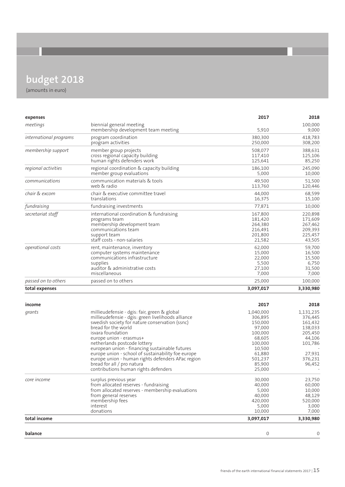## **budget 2018**

| expenses               |                                                                 | 2017               | 2018              |
|------------------------|-----------------------------------------------------------------|--------------------|-------------------|
| meetings               | biennial general meeting                                        |                    | 100,000           |
|                        | membership development team meeting                             | 5,910              | 9,000             |
| international programs | program coordination                                            | 380,300            | 418,783           |
|                        | program activities                                              | 250,000            | 308,200           |
| membership support     | member group projects                                           | 508,077            | 388,631           |
|                        | cross regional capacity building<br>human rights defenders work | 117,410<br>125,641 | 125,106<br>85,250 |
| regional activities    | regional coordination & capacity building                       | 186,100            | 245,090           |
|                        | member group evaluations                                        | 5,000              | 10,000            |
| communications         | communication materials & tools                                 | 49,500             | 51,500            |
|                        | web & radio                                                     | 113,760            | 120,446           |
| chair & excom          | chair & executive committee travel                              | 44,000             | 68,599            |
|                        | translations                                                    | 16,375             | 15,100            |
| fundraising            | fundraising investments                                         | 77,871             | 10,000            |
| secretariat staff      | international coordination & fundraising                        | 167,800            | 220,898           |
|                        | programs team                                                   | 181,420            | 171,609           |
|                        | membership development team                                     | 264,380            | 267,462           |
|                        | communications team                                             | 216,491            | 209,393           |
|                        | support team                                                    | 201,800            | 225,457           |
|                        | staff costs - non-salaries                                      | 21,582             | 43,505            |
| operational costs      | rent, maintenance, inventory                                    | 62,000             | 59,700            |
|                        | computer systems maintenance                                    | 15,000             | 16,500            |
|                        | communications infrastructure                                   | 22,000             | 15,500            |
|                        | supplies                                                        | 5,500              | 6,750             |
|                        | auditor & administrative costs                                  | 27,100             | 31,500            |
|                        | miscellaneous                                                   | 7,000              | 7,000             |
| passed on to others    | passed on to others                                             | 25,000             | 100,000           |
| total expenses         |                                                                 | 3,097,017          | 3,330,980         |
|                        |                                                                 |                    |                   |
| income                 |                                                                 | 2017               | 2018              |
| grants                 | millieudefensie - dgis: fair, green & global                    | 1,040,000          | 1,131,235         |
|                        | millieudefensie - dgis: green livelihoods alliance              | 306,895            | 376,445           |
|                        | swedish society for nature conservation (ssnc)                  | 150,000            | 161,432           |
|                        | bread for the world                                             | 97,000             | 138,033           |
|                        | isvara foundation                                               | 100,000            | 205,450           |
|                        | europe union - erasmus+                                         | 68,605             | 44,106            |
|                        | netherlands postcode lottery                                    | 100,000            | 101,786           |
|                        | european union - financing sustainable futures                  | 10,500             |                   |
|                        | europe union - school of sustainability foe europe              | 61,880             | 27,931            |
|                        | europe union - human rights defenders APac region               | 501,237            | 376,231           |
|                        | bread for all / pro natura                                      | 85,900             | 96,452            |
|                        | contributions human rights defenders                            | 25,000             |                   |
| core income            | surplus previous year                                           | 30,000             | 23,750            |
|                        | from allocated reserves - fundraising                           | 40,000             | 60,000            |
|                        | from allocated reserves - membership evaluations                | 5,000              | 10,000            |
|                        | from general reserves                                           | 40,000             | 48,129            |
|                        | membership fees                                                 | 420,000            | 520,000           |
|                        | interest                                                        | 5,000              | 3,000             |
|                        | donations                                                       | 10,000             | 7,000             |
| total income           |                                                                 | 3,097,017          | 3,330,980         |
|                        |                                                                 |                    |                   |
| balance                |                                                                 | 0                  | 0                 |